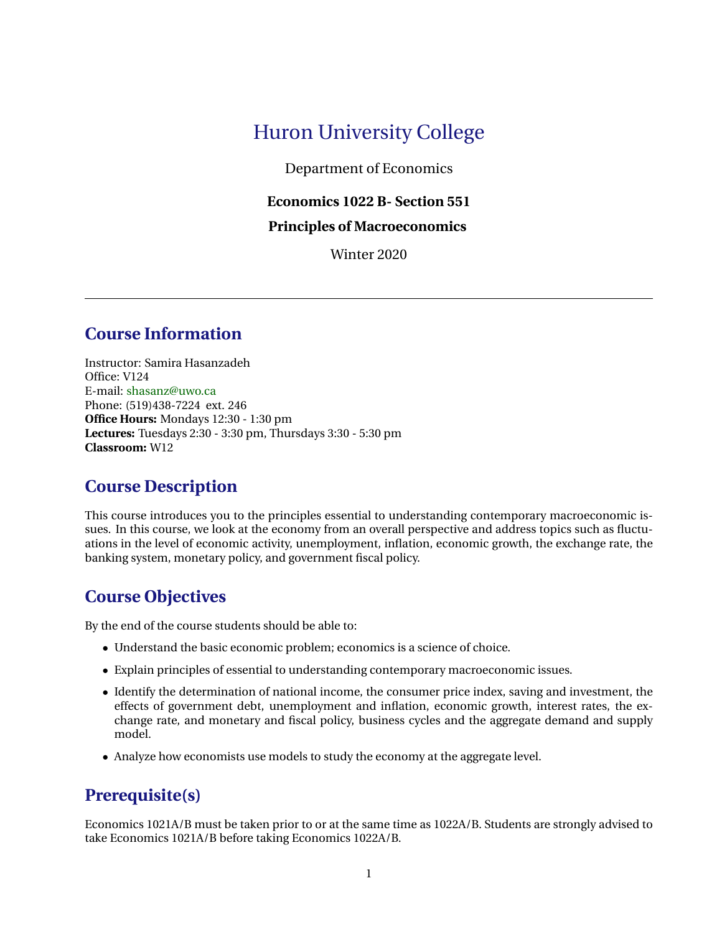# Huron University College

Department of Economics

## **Economics 1022 B- Section 551**

#### **Principles of Macroeconomics**

Winter 2020

## **Course Information**

Instructor: Samira Hasanzadeh Office: V124 E-mail: [shasanz@uwo.ca](mailto: Your email) Phone: (519)438-7224 ext. 246 **Office Hours:** Mondays 12:30 - 1:30 pm **Lectures:** Tuesdays 2:30 - 3:30 pm, Thursdays 3:30 - 5:30 pm **Classroom:** W12

## **Course Description**

This course introduces you to the principles essential to understanding contemporary macroeconomic issues. In this course, we look at the economy from an overall perspective and address topics such as fluctuations in the level of economic activity, unemployment, inflation, economic growth, the exchange rate, the banking system, monetary policy, and government fiscal policy.

## **Course Objectives**

By the end of the course students should be able to:

- Understand the basic economic problem; economics is a science of choice.
- Explain principles of essential to understanding contemporary macroeconomic issues.
- Identify the determination of national income, the consumer price index, saving and investment, the effects of government debt, unemployment and inflation, economic growth, interest rates, the exchange rate, and monetary and fiscal policy, business cycles and the aggregate demand and supply model.
- Analyze how economists use models to study the economy at the aggregate level.

## **Prerequisite(s)**

Economics 1021A/B must be taken prior to or at the same time as 1022A/B. Students are strongly advised to take Economics 1021A/B before taking Economics 1022A/B.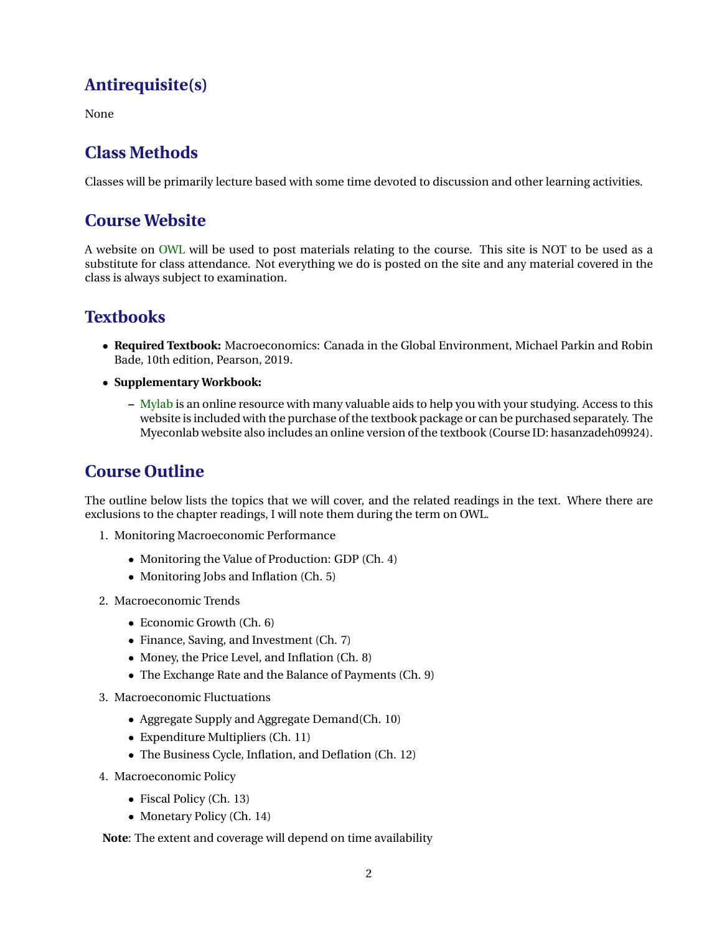# **Antirequisite(s)**

None

# **Class Methods**

Classes will be primarily lecture based with some time devoted to discussion and other learning activities.

# **Course Website**

A website on [OWL](https://owl.uwo.ca/portal) will be used to post materials relating to the course. This site is NOT to be used as a substitute for class attendance. Not everything we do is posted on the site and any material covered in the class is always subject to examination.

# **Textbooks**

- **Required Textbook:** Macroeconomics: Canada in the Global Environment, Michael Parkin and Robin Bade, 10th edition, Pearson, 2019.
- **Supplementary Workbook:**
	- **–** [Mylab](https://www.pearsonmylabandmastering.com/northamerica/myeconlab/) is an online resource with many valuable aids to help you with your studying. Access to this website is included with the purchase of the textbook package or can be purchased separately. The Myeconlab website also includes an online version of the textbook (Course ID: hasanzadeh09924).

# **Course Outline**

The outline below lists the topics that we will cover, and the related readings in the text. Where there are exclusions to the chapter readings, I will note them during the term on OWL.

- 1. Monitoring Macroeconomic Performance
	- Monitoring the Value of Production: GDP (Ch. 4)
	- Monitoring Jobs and Inflation (Ch. 5)
- 2. Macroeconomic Trends
	- Economic Growth (Ch. 6)
	- Finance, Saving, and Investment (Ch. 7)
	- Money, the Price Level, and Inflation (Ch. 8)
	- The Exchange Rate and the Balance of Payments (Ch. 9)
- 3. Macroeconomic Fluctuations
	- Aggregate Supply and Aggregate Demand(Ch. 10)
	- Expenditure Multipliers (Ch. 11)
	- The Business Cycle, Inflation, and Deflation (Ch. 12)
- 4. Macroeconomic Policy
	- Fiscal Policy (Ch. 13)
	- Monetary Policy (Ch. 14)

**Note**: The extent and coverage will depend on time availability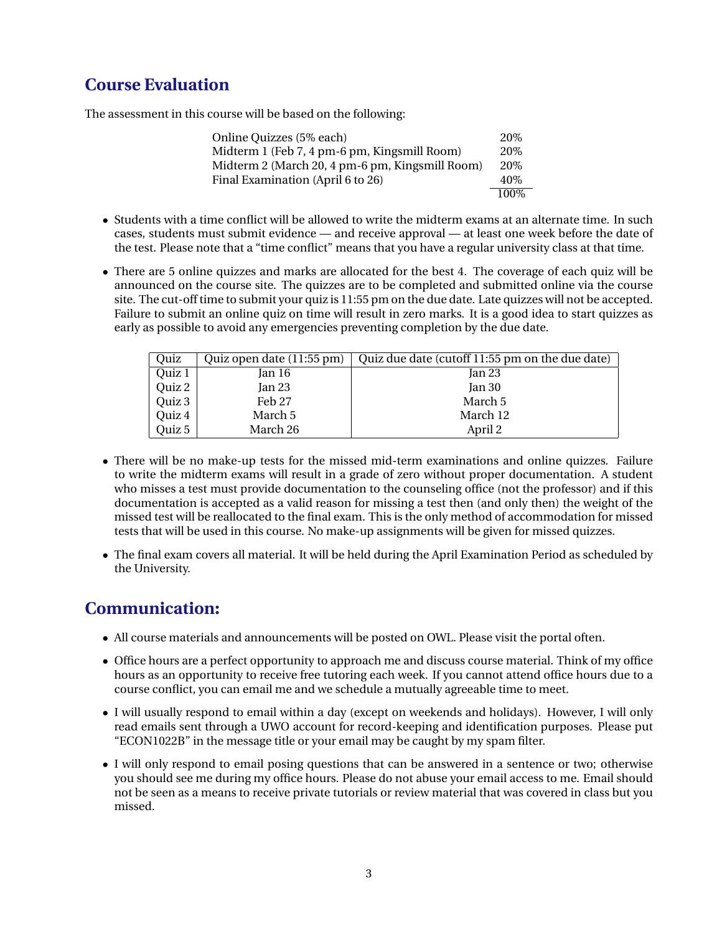## **Course Evaluation**

The assessment in this course will be based on the following:

| Online Quizzes (5% each)                        | 20\%  |
|-------------------------------------------------|-------|
| Midterm 1 (Feb 7, 4 pm-6 pm, Kingsmill Room)    | 20\%  |
| Midterm 2 (March 20, 4 pm-6 pm, Kingsmill Room) | 20\%  |
| Final Examination (April 6 to 26)               | 40\%  |
|                                                 | 100\% |

- Students with a time conflict will be allowed to write the midterm exams at an alternate time. In such cases, students must submit evidence — and receive approval — at least one week before the date of the test. Please note that a "time conflict" means that you have a regular university class at that time.
- There are 5 online quizzes and marks are allocated for the best 4. The coverage of each quiz will be announced on the course site. The quizzes are to be completed and submitted online via the course site. The cut-off time to submit your quiz is 11:55 pm on the due date. Late quizzes will not be accepted. Failure to submit an online quiz on time will result in zero marks. It is a good idea to start quizzes as early as possible to avoid any emergencies preventing completion by the due date.

| Ouiz   | Quiz open date (11:55 pm) | Quiz due date (cutoff 11:55 pm on the due date) |
|--------|---------------------------|-------------------------------------------------|
| Quiz 1 | Jan 16                    | Jan 23                                          |
| Quiz 2 | Jan 23                    | Jan 30                                          |
| Quiz 3 | Feb 27                    | March 5                                         |
| Quiz 4 | March 5                   | March 12                                        |
| Quiz 5 | March 26                  | April 2                                         |

- There will be no make-up tests for the missed mid-term examinations and online quizzes. Failure to write the midterm exams will result in a grade of zero without proper documentation. A student who misses a test must provide documentation to the counseling office (not the professor) and if this documentation is accepted as a valid reason for missing a test then (and only then) the weight of the missed test will be reallocated to the final exam. This is the only method of accommodation for missed tests that will be used in this course. No make-up assignments will be given for missed quizzes.
- The final exam covers all material. It will be held during the April Examination Period as scheduled by the University.

# **Communication:**

- All course materials and announcements will be posted on OWL. Please visit the portal often.
- Office hours are a perfect opportunity to approach me and discuss course material. Think of my office hours as an opportunity to receive free tutoring each week. If you cannot attend office hours due to a course conflict, you can email me and we schedule a mutually agreeable time to meet.
- I will usually respond to email within a day (except on weekends and holidays). However, I will only read emails sent through a UWO account for record-keeping and identification purposes. Please put "ECON1022B" in the message title or your email may be caught by my spam filter.
- I will only respond to email posing questions that can be answered in a sentence or two; otherwise you should see me during my office hours. Please do not abuse your email access to me. Email should not be seen as a means to receive private tutorials or review material that was covered in class but you missed.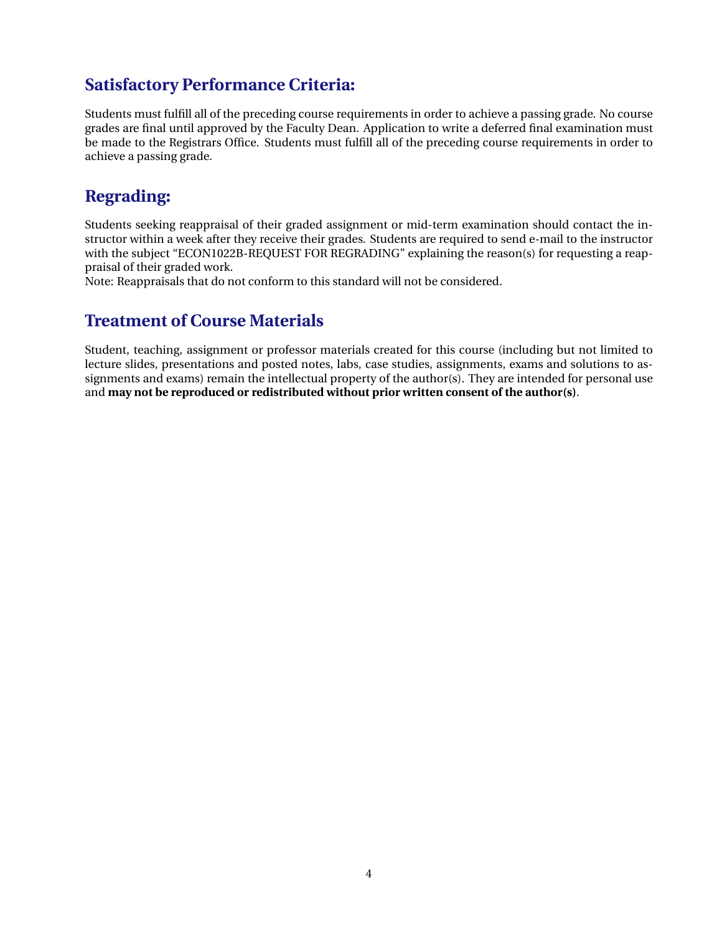## **Satisfactory Performance Criteria:**

Students must fulfill all of the preceding course requirements in order to achieve a passing grade. No course grades are final until approved by the Faculty Dean. Application to write a deferred final examination must be made to the Registrars Office. Students must fulfill all of the preceding course requirements in order to achieve a passing grade.

## **Regrading:**

Students seeking reappraisal of their graded assignment or mid-term examination should contact the instructor within a week after they receive their grades. Students are required to send e-mail to the instructor with the subject "ECON1022B-REQUEST FOR REGRADING" explaining the reason(s) for requesting a reappraisal of their graded work.

Note: Reappraisals that do not conform to this standard will not be considered.

## **Treatment of Course Materials**

Student, teaching, assignment or professor materials created for this course (including but not limited to lecture slides, presentations and posted notes, labs, case studies, assignments, exams and solutions to assignments and exams) remain the intellectual property of the author(s). They are intended for personal use and **may not be reproduced or redistributed without prior written consent of the author(s)**.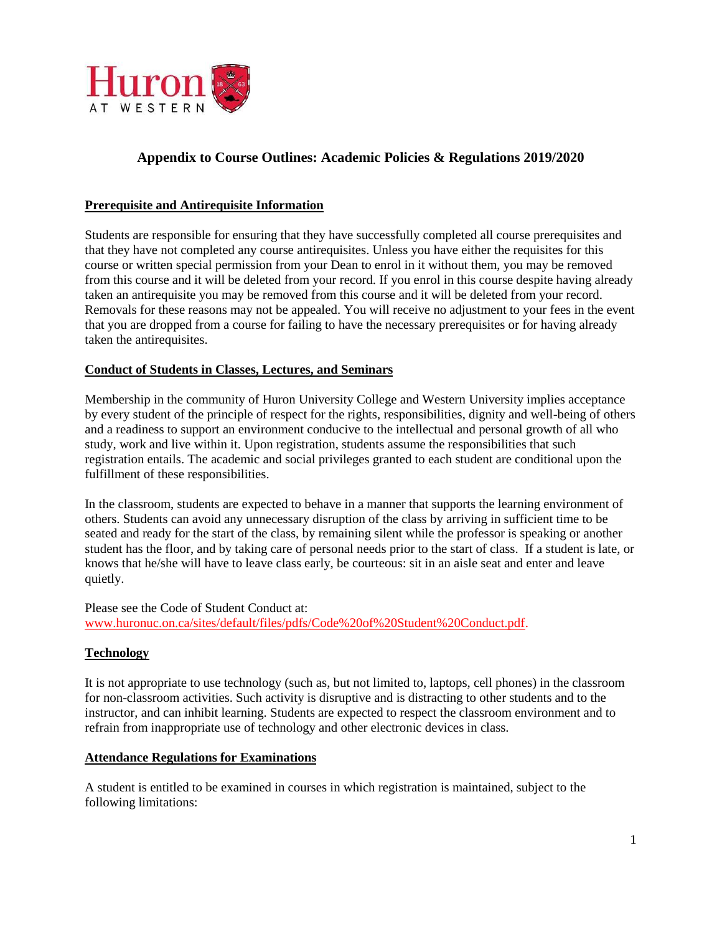

## **Appendix to Course Outlines: Academic Policies & Regulations 2019/2020**

#### **Prerequisite and Antirequisite Information**

Students are responsible for ensuring that they have successfully completed all course prerequisites and that they have not completed any course antirequisites. Unless you have either the requisites for this course or written special permission from your Dean to enrol in it without them, you may be removed from this course and it will be deleted from your record. If you enrol in this course despite having already taken an antirequisite you may be removed from this course and it will be deleted from your record. Removals for these reasons may not be appealed. You will receive no adjustment to your fees in the event that you are dropped from a course for failing to have the necessary prerequisites or for having already taken the antirequisites.

#### **Conduct of Students in Classes, Lectures, and Seminars**

Membership in the community of Huron University College and Western University implies acceptance by every student of the principle of respect for the rights, responsibilities, dignity and well-being of others and a readiness to support an environment conducive to the intellectual and personal growth of all who study, work and live within it. Upon registration, students assume the responsibilities that such registration entails. The academic and social privileges granted to each student are conditional upon the fulfillment of these responsibilities.

In the classroom, students are expected to behave in a manner that supports the learning environment of others. Students can avoid any unnecessary disruption of the class by arriving in sufficient time to be seated and ready for the start of the class, by remaining silent while the professor is speaking or another student has the floor, and by taking care of personal needs prior to the start of class. If a student is late, or knows that he/she will have to leave class early, be courteous: sit in an aisle seat and enter and leave quietly.

Please see the Code of Student Conduct at: [www.huronuc.on.ca/sites/default/files/pdfs/Code%20of%20Student%20Conduct.pdf.](http://www.huronuc.on.ca/sites/default/files/pdfs/Code%20of%20Student%20Conduct.pdf)

#### **Technology**

It is not appropriate to use technology (such as, but not limited to, laptops, cell phones) in the classroom for non-classroom activities. Such activity is disruptive and is distracting to other students and to the instructor, and can inhibit learning. Students are expected to respect the classroom environment and to refrain from inappropriate use of technology and other electronic devices in class.

#### **Attendance Regulations for Examinations**

A student is entitled to be examined in courses in which registration is maintained, subject to the following limitations: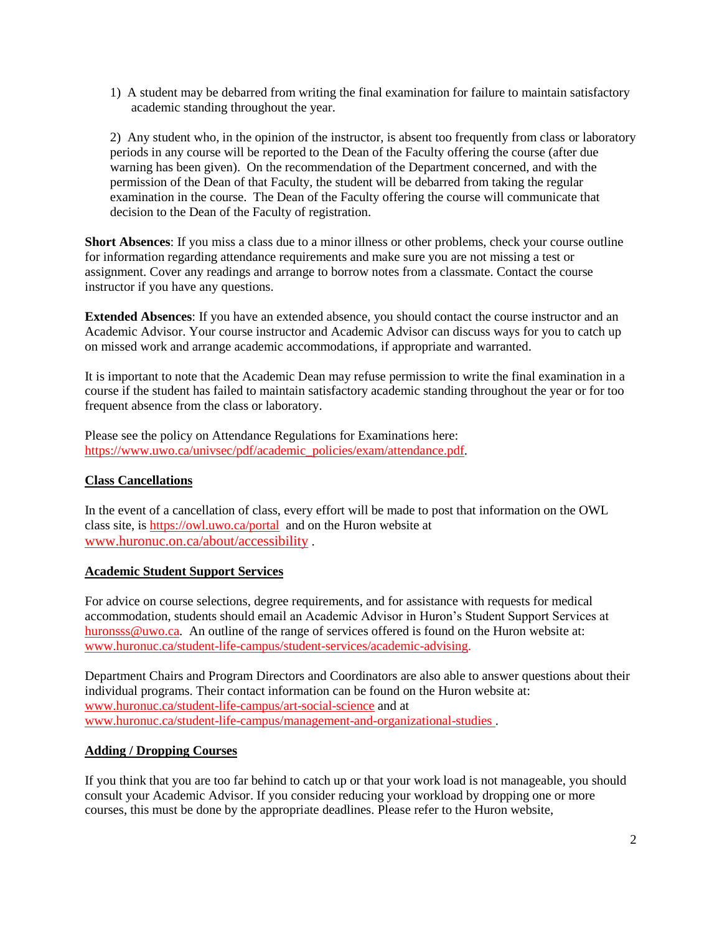1) A student may be debarred from writing the final examination for failure to maintain satisfactory academic standing throughout the year.

2) Any student who, in the opinion of the instructor, is absent too frequently from class or laboratory periods in any course will be reported to the Dean of the Faculty offering the course (after due warning has been given). On the recommendation of the Department concerned, and with the permission of the Dean of that Faculty, the student will be debarred from taking the regular examination in the course. The Dean of the Faculty offering the course will communicate that decision to the Dean of the Faculty of registration.

**Short Absences**: If you miss a class due to a minor illness or other problems, check your course outline for information regarding attendance requirements and make sure you are not missing a test or assignment. Cover any readings and arrange to borrow notes from a classmate. Contact the course instructor if you have any questions.

**Extended Absences**: If you have an extended absence, you should contact the course instructor and an Academic Advisor. Your course instructor and Academic Advisor can discuss ways for you to catch up on missed work and arrange academic accommodations, if appropriate and warranted.

It is important to note that the Academic Dean may refuse permission to write the final examination in a course if the student has failed to maintain satisfactory academic standing throughout the year or for too frequent absence from the class or laboratory.

Please see the policy on Attendance Regulations for Examinations here: [https://www.uwo.ca/univsec/pdf/academic\\_policies/exam/attendance.pdf.](https://www.uwo.ca/univsec/pdf/academic_policies/exam/attendance.pdf)

#### **Class Cancellations**

In the event of a cancellation of class, every effort will be made to post that information on the OWL class site, is<https://owl.uwo.ca/portal>and on the Huron website at [www.huronuc.on.ca/about/accessibility](http://www.huronuc.on.ca/about/accessibility) .

#### **Academic Student Support Services**

For advice on course selections, degree requirements, and for assistance with requests for medical accommodation, students should email an Academic Advisor in Huron's Student Support Services at [huronsss@uwo.ca.](mailto:huronsss@uwo.ca) An outline of the range of services offered is found on the Huron website at: [www.huronuc.ca/student-life-campus/student-services/academic-advising.](http://www.huronuc.ca/student-life-campus/student-services/academic-advising)

Department Chairs and Program Directors and Coordinators are also able to answer questions about their individual programs. Their contact information can be found on the Huron website at: [www.huronuc.ca/student-life-campus/art-social-science](http://www.huronuc.ca/student-life-campus/art-social-science) and at [www.huronuc.ca/student-life-campus/management-and-organizational-studies](http://www.huronuc.ca/student-life-campus/management-and-organizational-studies) .

#### **Adding / Dropping Courses**

If you think that you are too far behind to catch up or that your work load is not manageable, you should consult your Academic Advisor. If you consider reducing your workload by dropping one or more courses, this must be done by the appropriate deadlines. Please refer to the Huron website,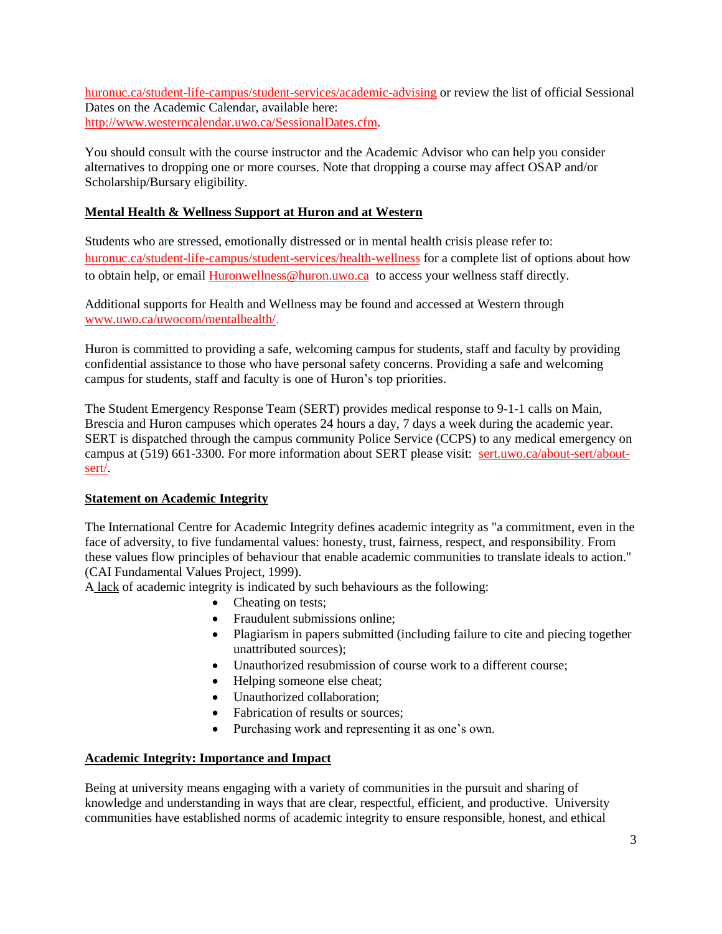[huronuc.ca/student-life-campus/student-services/academic-advising](https://huronuc.ca/student-life-campus/student-services/academic-advising) or review the list of official Sessional Dates on the Academic Calendar, available here: [http://www.westerncalendar.uwo.ca/SessionalDates.cfm.](http://www.westerncalendar.uwo.ca/SessionalDates.cfm)

You should consult with the course instructor and the Academic Advisor who can help you consider alternatives to dropping one or more courses. Note that dropping a course may affect OSAP and/or Scholarship/Bursary eligibility.

#### **Mental Health & Wellness Support at Huron and at Western**

Students who are stressed, emotionally distressed or in mental health crisis please refer to: [huronuc.ca/student-life-campus/student-services/health-wellness](https://huronuc.ca/student-life-campus/student-services/health-wellness) for a complete list of options about how to obtain help, or email [Huronwellness@huron.uwo.ca](mailto:Huronwellness@huron.uwo.ca) to access your wellness staff directly.

Additional supports for Health and Wellness may be found and accessed at Western through [www.uwo.ca/uwocom/mentalhealth/.](http://www.uwo.ca/uwocom/mentalhealth/)

Huron is committed to providing a safe, welcoming campus for students, staff and faculty by providing confidential assistance to those who have personal safety concerns. Providing a safe and welcoming campus for students, staff and faculty is one of Huron's top priorities.

The Student Emergency Response Team (SERT) provides medical response to 9-1-1 calls on Main, Brescia and Huron campuses which operates 24 hours a day, 7 days a week during the academic year. SERT is dispatched through the campus community Police Service (CCPS) to any medical emergency on campus at (519) 661-3300. For more information about SERT please visit: [sert.uwo.ca/about-sert/about](https://sert.uwo.ca/about-sert/about-sert/)[sert/.](https://sert.uwo.ca/about-sert/about-sert/)

#### **Statement on Academic Integrity**

The International Centre for Academic Integrity defines academic integrity as "a commitment, even in the face of adversity, to five fundamental values: honesty, trust, fairness, respect, and responsibility. From these values flow principles of behaviour that enable academic communities to translate ideals to action." (CAI Fundamental Values Project, 1999).

A lack of academic integrity is indicated by such behaviours as the following:

- Cheating on tests;
- Fraudulent submissions online;
- Plagiarism in papers submitted (including failure to cite and piecing together unattributed sources);
- Unauthorized resubmission of course work to a different course;
- Helping someone else cheat;
- Unauthorized collaboration:
- Fabrication of results or sources;
- Purchasing work and representing it as one's own.

#### **Academic Integrity: Importance and Impact**

Being at university means engaging with a variety of communities in the pursuit and sharing of knowledge and understanding in ways that are clear, respectful, efficient, and productive. University communities have established norms of academic integrity to ensure responsible, honest, and ethical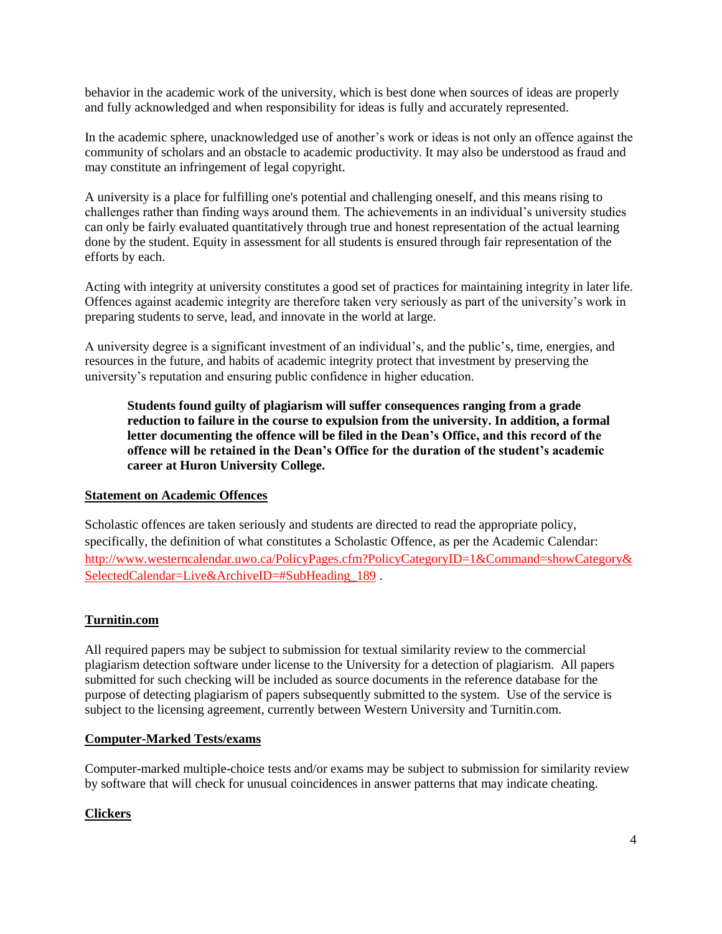behavior in the academic work of the university, which is best done when sources of ideas are properly and fully acknowledged and when responsibility for ideas is fully and accurately represented.

In the academic sphere, unacknowledged use of another's work or ideas is not only an offence against the community of scholars and an obstacle to academic productivity. It may also be understood as fraud and may constitute an infringement of legal copyright.

A university is a place for fulfilling one's potential and challenging oneself, and this means rising to challenges rather than finding ways around them. The achievements in an individual's university studies can only be fairly evaluated quantitatively through true and honest representation of the actual learning done by the student. Equity in assessment for all students is ensured through fair representation of the efforts by each.

Acting with integrity at university constitutes a good set of practices for maintaining integrity in later life. Offences against academic integrity are therefore taken very seriously as part of the university's work in preparing students to serve, lead, and innovate in the world at large.

A university degree is a significant investment of an individual's, and the public's, time, energies, and resources in the future, and habits of academic integrity protect that investment by preserving the university's reputation and ensuring public confidence in higher education.

**Students found guilty of plagiarism will suffer consequences ranging from a grade reduction to failure in the course to expulsion from the university. In addition, a formal letter documenting the offence will be filed in the Dean's Office, and this record of the offence will be retained in the Dean's Office for the duration of the student's academic career at Huron University College.**

#### **Statement on Academic Offences**

Scholastic offences are taken seriously and students are directed to read the appropriate policy, specifically, the definition of what constitutes a Scholastic Offence, as per the Academic Calendar: [http://www.westerncalendar.uwo.ca/PolicyPages.cfm?PolicyCategoryID=1&Command=showCategory&](http://www.westerncalendar.uwo.ca/PolicyPages.cfm?PolicyCategoryID=1&Command=showCategory&SelectedCalendar=Live&ArchiveID=#SubHeading_189) [SelectedCalendar=Live&ArchiveID=#SubHeading\\_189](http://www.westerncalendar.uwo.ca/PolicyPages.cfm?PolicyCategoryID=1&Command=showCategory&SelectedCalendar=Live&ArchiveID=#SubHeading_189) .

### **Turnitin.com**

All required papers may be subject to submission for textual similarity review to the commercial plagiarism detection software under license to the University for a detection of plagiarism. All papers submitted for such checking will be included as source documents in the reference database for the purpose of detecting plagiarism of papers subsequently submitted to the system. Use of the service is subject to the licensing agreement, currently between Western University and Turnitin.com.

#### **Computer-Marked Tests/exams**

Computer-marked multiple-choice tests and/or exams may be subject to submission for similarity review by software that will check for unusual coincidences in answer patterns that may indicate cheating.

### **Clickers**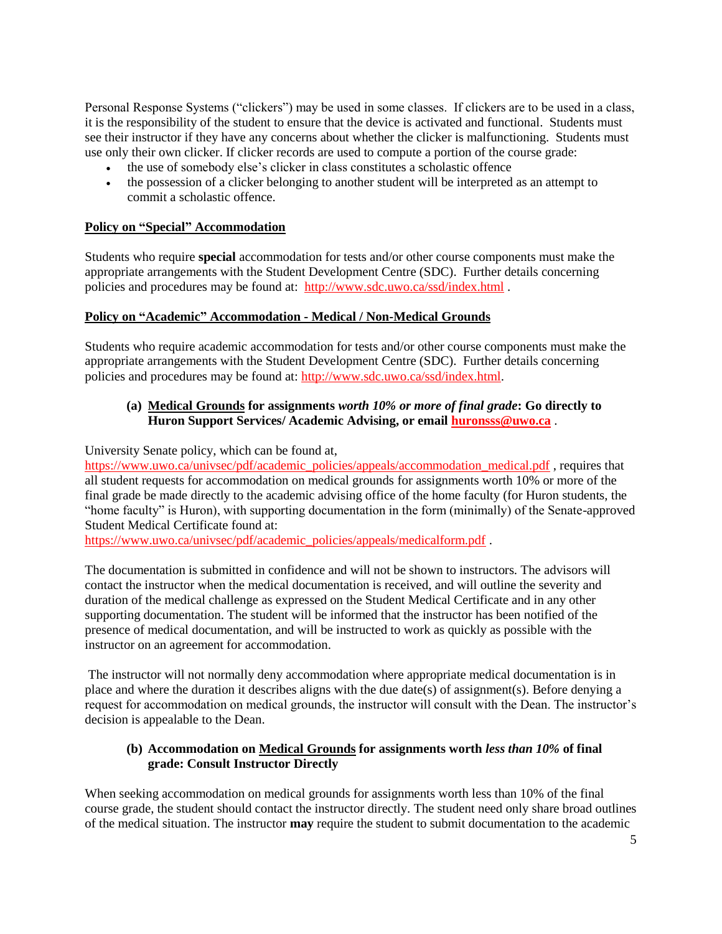Personal Response Systems ("clickers") may be used in some classes. If clickers are to be used in a class, it is the responsibility of the student to ensure that the device is activated and functional. Students must see their instructor if they have any concerns about whether the clicker is malfunctioning. Students must use only their own clicker. If clicker records are used to compute a portion of the course grade:

- the use of somebody else's clicker in class constitutes a scholastic offence
- the possession of a clicker belonging to another student will be interpreted as an attempt to commit a scholastic offence.

### **Policy on "Special" Accommodation**

Students who require **special** accommodation for tests and/or other course components must make the appropriate arrangements with the Student Development Centre (SDC). Further details concerning policies and procedures may be found at: <http://www.sdc.uwo.ca/ssd/index.html> .

#### **Policy on "Academic" Accommodation - Medical / Non-Medical Grounds**

Students who require academic accommodation for tests and/or other course components must make the appropriate arrangements with the Student Development Centre (SDC). Further details concerning policies and procedures may be found at: [http://www.sdc.uwo.ca/ssd/index.html.](http://www.sdc.uwo.ca/ssd/index.html)

### **(a) Medical Grounds for assignments** *worth 10% or more of final grade***: Go directly to Huron Support Services/ Academic Advising, or email [huronsss@uwo.ca](mailto:huronsss@uwo.ca)** .

University Senate policy, which can be found at,

[https://www.uwo.ca/univsec/pdf/academic\\_policies/appeals/accommodation\\_medical.pdf](https://www.uwo.ca/univsec/pdf/academic_policies/appeals/accommodation_medical.pdf), requires that all student requests for accommodation on medical grounds for assignments worth 10% or more of the final grade be made directly to the academic advising office of the home faculty (for Huron students, the "home faculty" is Huron), with supporting documentation in the form (minimally) of the Senate-approved Student Medical Certificate found at:

[https://www.uwo.ca/univsec/pdf/academic\\_policies/appeals/medicalform.pdf](https://www.uwo.ca/univsec/pdf/academic_policies/appeals/medicalform.pdf) .

The documentation is submitted in confidence and will not be shown to instructors. The advisors will contact the instructor when the medical documentation is received, and will outline the severity and duration of the medical challenge as expressed on the Student Medical Certificate and in any other supporting documentation. The student will be informed that the instructor has been notified of the presence of medical documentation, and will be instructed to work as quickly as possible with the instructor on an agreement for accommodation.

The instructor will not normally deny accommodation where appropriate medical documentation is in place and where the duration it describes aligns with the due date(s) of assignment(s). Before denying a request for accommodation on medical grounds, the instructor will consult with the Dean. The instructor's decision is appealable to the Dean.

#### **(b) Accommodation on Medical Grounds for assignments worth** *less than 10%* **of final grade: Consult Instructor Directly**

When seeking accommodation on medical grounds for assignments worth less than 10% of the final course grade, the student should contact the instructor directly. The student need only share broad outlines of the medical situation. The instructor **may** require the student to submit documentation to the academic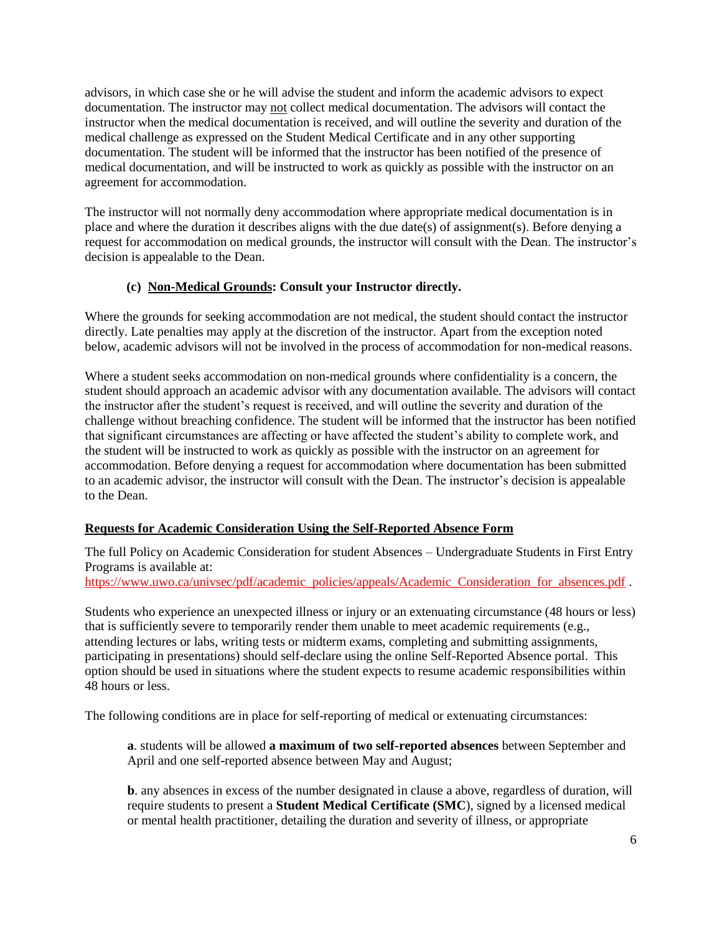advisors, in which case she or he will advise the student and inform the academic advisors to expect documentation. The instructor may not collect medical documentation. The advisors will contact the instructor when the medical documentation is received, and will outline the severity and duration of the medical challenge as expressed on the Student Medical Certificate and in any other supporting documentation. The student will be informed that the instructor has been notified of the presence of medical documentation, and will be instructed to work as quickly as possible with the instructor on an agreement for accommodation.

The instructor will not normally deny accommodation where appropriate medical documentation is in place and where the duration it describes aligns with the due date(s) of assignment(s). Before denying a request for accommodation on medical grounds, the instructor will consult with the Dean. The instructor's decision is appealable to the Dean.

#### **(c) Non-Medical Grounds: Consult your Instructor directly.**

Where the grounds for seeking accommodation are not medical, the student should contact the instructor directly. Late penalties may apply at the discretion of the instructor. Apart from the exception noted below, academic advisors will not be involved in the process of accommodation for non-medical reasons.

Where a student seeks accommodation on non-medical grounds where confidentiality is a concern, the student should approach an academic advisor with any documentation available. The advisors will contact the instructor after the student's request is received, and will outline the severity and duration of the challenge without breaching confidence. The student will be informed that the instructor has been notified that significant circumstances are affecting or have affected the student's ability to complete work, and the student will be instructed to work as quickly as possible with the instructor on an agreement for accommodation. Before denying a request for accommodation where documentation has been submitted to an academic advisor, the instructor will consult with the Dean. The instructor's decision is appealable to the Dean.

### **Requests for Academic Consideration Using the Self-Reported Absence Form**

The full Policy on Academic Consideration for student Absences – Undergraduate Students in First Entry Programs is available at:

[https://www.uwo.ca/univsec/pdf/academic\\_policies/appeals/Academic\\_Consideration\\_for\\_absences.pdf](https://www.uwo.ca/univsec/pdf/academic_policies/appeals/Academic_Consideration_for_absences.pdf) .

Students who experience an unexpected illness or injury or an extenuating circumstance (48 hours or less) that is sufficiently severe to temporarily render them unable to meet academic requirements (e.g., attending lectures or labs, writing tests or midterm exams, completing and submitting assignments, participating in presentations) should self-declare using the online Self-Reported Absence portal. This option should be used in situations where the student expects to resume academic responsibilities within 48 hours or less.

The following conditions are in place for self-reporting of medical or extenuating circumstances:

**a**. students will be allowed **a maximum of two self-reported absences** between September and April and one self-reported absence between May and August;

**b**. any absences in excess of the number designated in clause a above, regardless of duration, will require students to present a **Student Medical Certificate (SMC**), signed by a licensed medical or mental health practitioner, detailing the duration and severity of illness, or appropriate